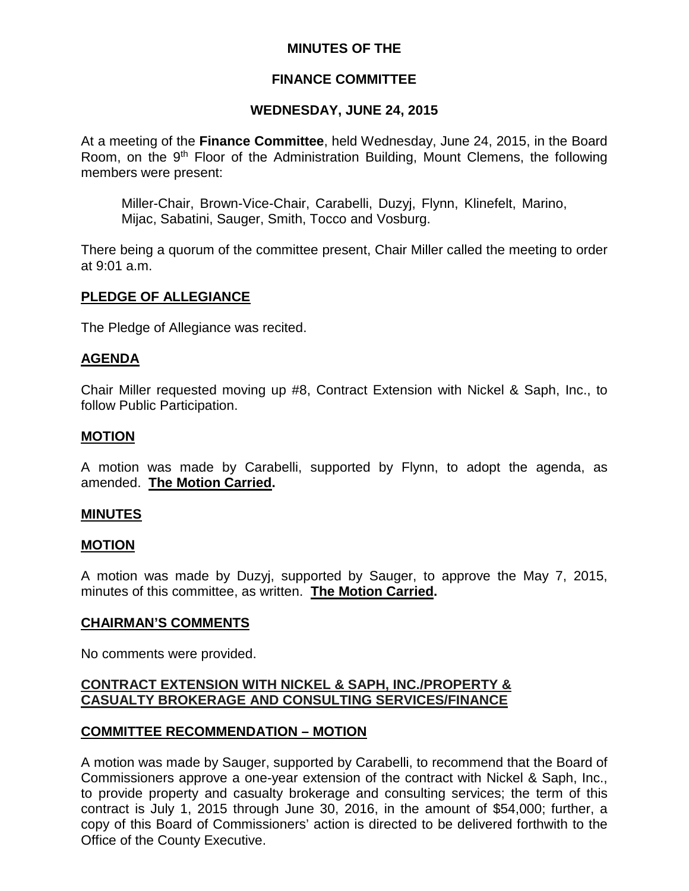## **MINUTES OF THE**

## **FINANCE COMMITTEE**

## **WEDNESDAY, JUNE 24, 2015**

At a meeting of the **Finance Committee**, held Wednesday, June 24, 2015, in the Board Room, on the 9<sup>th</sup> Floor of the Administration Building, Mount Clemens, the following members were present:

Miller-Chair, Brown-Vice-Chair, Carabelli, Duzyj, Flynn, Klinefelt, Marino, Mijac, Sabatini, Sauger, Smith, Tocco and Vosburg.

There being a quorum of the committee present, Chair Miller called the meeting to order at 9:01 a.m.

### **PLEDGE OF ALLEGIANCE**

The Pledge of Allegiance was recited.

### **AGENDA**

Chair Miller requested moving up #8, Contract Extension with Nickel & Saph, Inc., to follow Public Participation.

### **MOTION**

A motion was made by Carabelli, supported by Flynn, to adopt the agenda, as amended. **The Motion Carried.**

### **MINUTES**

### **MOTION**

A motion was made by Duzyj, supported by Sauger, to approve the May 7, 2015, minutes of this committee, as written. **The Motion Carried.**

### **CHAIRMAN'S COMMENTS**

No comments were provided.

## **CONTRACT EXTENSION WITH NICKEL & SAPH, INC./PROPERTY & CASUALTY BROKERAGE AND CONSULTING SERVICES/FINANCE**

## **COMMITTEE RECOMMENDATION – MOTION**

A motion was made by Sauger, supported by Carabelli, to recommend that the Board of Commissioners approve a one-year extension of the contract with Nickel & Saph, Inc., to provide property and casualty brokerage and consulting services; the term of this contract is July 1, 2015 through June 30, 2016, in the amount of \$54,000; further, a copy of this Board of Commissioners' action is directed to be delivered forthwith to the Office of the County Executive.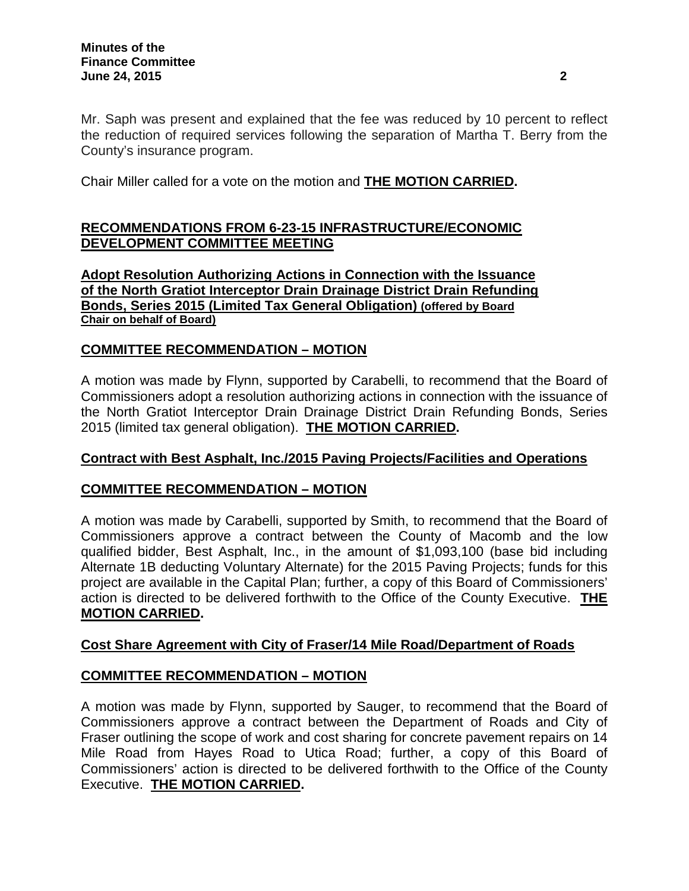Mr. Saph was present and explained that the fee was reduced by 10 percent to reflect the reduction of required services following the separation of Martha T. Berry from the County's insurance program.

Chair Miller called for a vote on the motion and **THE MOTION CARRIED.**

# **RECOMMENDATIONS FROM 6-23-15 INFRASTRUCTURE/ECONOMIC DEVELOPMENT COMMITTEE MEETING**

**Adopt Resolution Authorizing Actions in Connection with the Issuance of the North Gratiot Interceptor Drain Drainage District Drain Refunding Bonds, Series 2015 (Limited Tax General Obligation) (offered by Board Chair on behalf of Board)**

## **COMMITTEE RECOMMENDATION – MOTION**

A motion was made by Flynn, supported by Carabelli, to recommend that the Board of Commissioners adopt a resolution authorizing actions in connection with the issuance of the North Gratiot Interceptor Drain Drainage District Drain Refunding Bonds, Series 2015 (limited tax general obligation). **THE MOTION CARRIED.**

## **Contract with Best Asphalt, Inc./2015 Paving Projects/Facilities and Operations**

## **COMMITTEE RECOMMENDATION – MOTION**

A motion was made by Carabelli, supported by Smith, to recommend that the Board of Commissioners approve a contract between the County of Macomb and the low qualified bidder, Best Asphalt, Inc., in the amount of \$1,093,100 (base bid including Alternate 1B deducting Voluntary Alternate) for the 2015 Paving Projects; funds for this project are available in the Capital Plan; further, a copy of this Board of Commissioners' action is directed to be delivered forthwith to the Office of the County Executive. **THE MOTION CARRIED.**

## **Cost Share Agreement with City of Fraser/14 Mile Road/Department of Roads**

# **COMMITTEE RECOMMENDATION – MOTION**

A motion was made by Flynn, supported by Sauger, to recommend that the Board of Commissioners approve a contract between the Department of Roads and City of Fraser outlining the scope of work and cost sharing for concrete pavement repairs on 14 Mile Road from Hayes Road to Utica Road; further, a copy of this Board of Commissioners' action is directed to be delivered forthwith to the Office of the County Executive. **THE MOTION CARRIED.**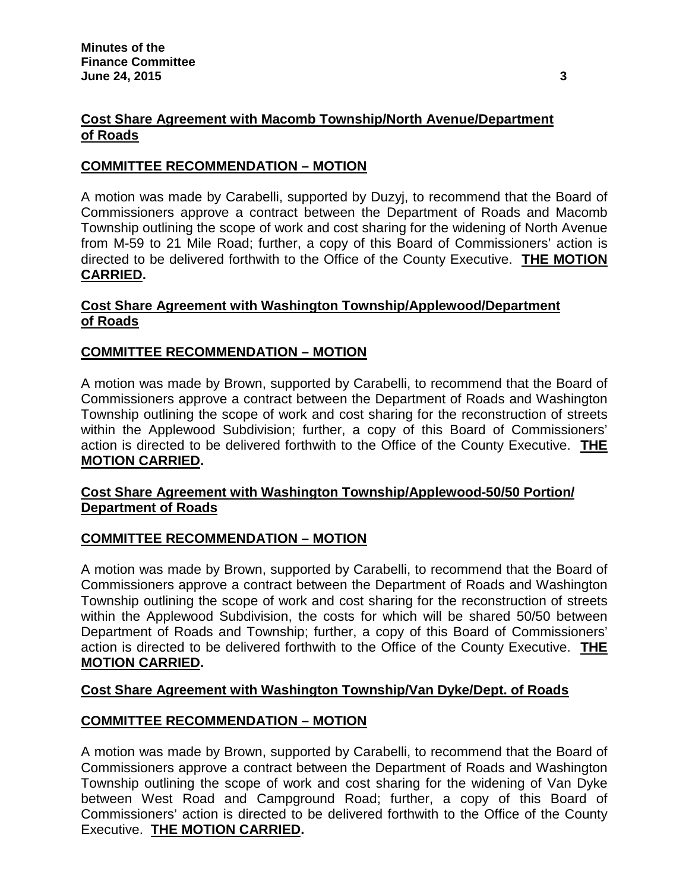## **Cost Share Agreement with Macomb Township/North Avenue/Department of Roads**

## **COMMITTEE RECOMMENDATION – MOTION**

A motion was made by Carabelli, supported by Duzyj, to recommend that the Board of Commissioners approve a contract between the Department of Roads and Macomb Township outlining the scope of work and cost sharing for the widening of North Avenue from M-59 to 21 Mile Road; further, a copy of this Board of Commissioners' action is directed to be delivered forthwith to the Office of the County Executive. **THE MOTION CARRIED.**

## **Cost Share Agreement with Washington Township/Applewood/Department of Roads**

## **COMMITTEE RECOMMENDATION – MOTION**

A motion was made by Brown, supported by Carabelli, to recommend that the Board of Commissioners approve a contract between the Department of Roads and Washington Township outlining the scope of work and cost sharing for the reconstruction of streets within the Applewood Subdivision; further, a copy of this Board of Commissioners' action is directed to be delivered forthwith to the Office of the County Executive. **THE MOTION CARRIED.**

## **Cost Share Agreement with Washington Township/Applewood-50/50 Portion/ Department of Roads**

## **COMMITTEE RECOMMENDATION – MOTION**

A motion was made by Brown, supported by Carabelli, to recommend that the Board of Commissioners approve a contract between the Department of Roads and Washington Township outlining the scope of work and cost sharing for the reconstruction of streets within the Applewood Subdivision, the costs for which will be shared 50/50 between Department of Roads and Township; further, a copy of this Board of Commissioners' action is directed to be delivered forthwith to the Office of the County Executive. **THE MOTION CARRIED.**

## **Cost Share Agreement with Washington Township/Van Dyke/Dept. of Roads**

## **COMMITTEE RECOMMENDATION – MOTION**

A motion was made by Brown, supported by Carabelli, to recommend that the Board of Commissioners approve a contract between the Department of Roads and Washington Township outlining the scope of work and cost sharing for the widening of Van Dyke between West Road and Campground Road; further, a copy of this Board of Commissioners' action is directed to be delivered forthwith to the Office of the County Executive. **THE MOTION CARRIED.**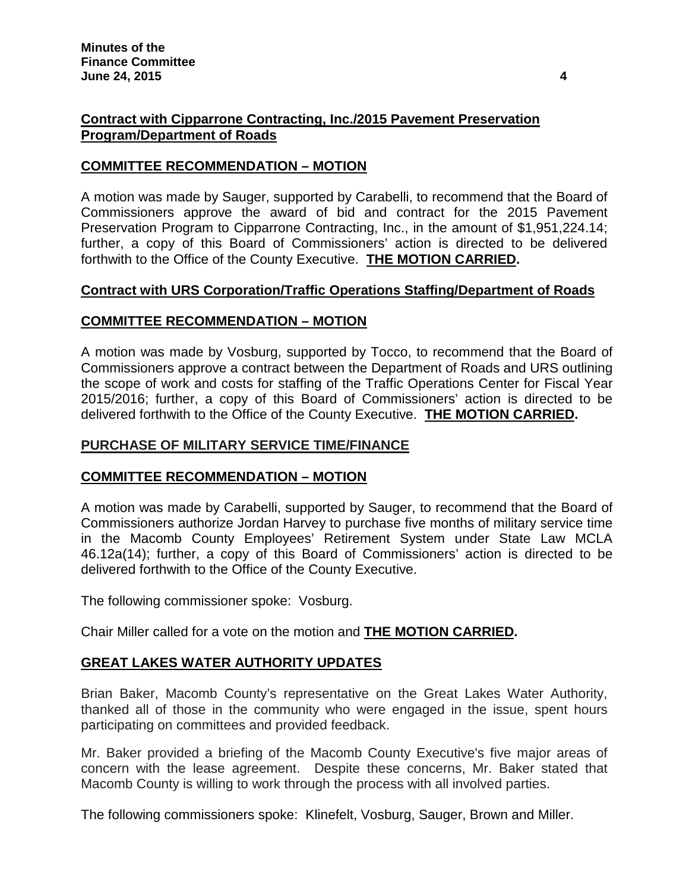## **Contract with Cipparrone Contracting, Inc./2015 Pavement Preservation Program/Department of Roads**

## **COMMITTEE RECOMMENDATION – MOTION**

A motion was made by Sauger, supported by Carabelli, to recommend that the Board of Commissioners approve the award of bid and contract for the 2015 Pavement Preservation Program to Cipparrone Contracting, Inc., in the amount of \$1,951,224.14; further, a copy of this Board of Commissioners' action is directed to be delivered forthwith to the Office of the County Executive. **THE MOTION CARRIED.**

## **Contract with URS Corporation/Traffic Operations Staffing/Department of Roads**

## **COMMITTEE RECOMMENDATION – MOTION**

A motion was made by Vosburg, supported by Tocco, to recommend that the Board of Commissioners approve a contract between the Department of Roads and URS outlining the scope of work and costs for staffing of the Traffic Operations Center for Fiscal Year 2015/2016; further, a copy of this Board of Commissioners' action is directed to be delivered forthwith to the Office of the County Executive. **THE MOTION CARRIED.**

## **PURCHASE OF MILITARY SERVICE TIME/FINANCE**

## **COMMITTEE RECOMMENDATION – MOTION**

A motion was made by Carabelli, supported by Sauger, to recommend that the Board of Commissioners authorize Jordan Harvey to purchase five months of military service time in the Macomb County Employees' Retirement System under State Law MCLA 46.12a(14); further, a copy of this Board of Commissioners' action is directed to be delivered forthwith to the Office of the County Executive.

The following commissioner spoke: Vosburg.

Chair Miller called for a vote on the motion and **THE MOTION CARRIED.**

# **GREAT LAKES WATER AUTHORITY UPDATES**

Brian Baker, Macomb County's representative on the Great Lakes Water Authority, thanked all of those in the community who were engaged in the issue, spent hours participating on committees and provided feedback.

Mr. Baker provided a briefing of the Macomb County Executive's five major areas of concern with the lease agreement. Despite these concerns, Mr. Baker stated that Macomb County is willing to work through the process with all involved parties.

The following commissioners spoke: Klinefelt, Vosburg, Sauger, Brown and Miller.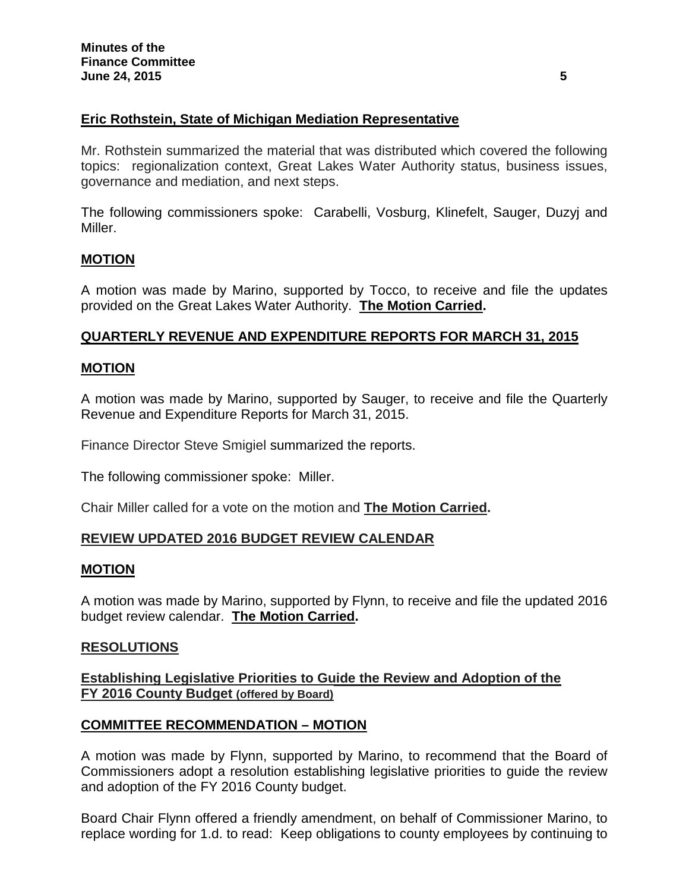## **Eric Rothstein, State of Michigan Mediation Representative**

Mr. Rothstein summarized the material that was distributed which covered the following topics: regionalization context, Great Lakes Water Authority status, business issues, governance and mediation, and next steps.

The following commissioners spoke: Carabelli, Vosburg, Klinefelt, Sauger, Duzyj and Miller.

### **MOTION**

A motion was made by Marino, supported by Tocco, to receive and file the updates provided on the Great Lakes Water Authority. **The Motion Carried.**

### **QUARTERLY REVENUE AND EXPENDITURE REPORTS FOR MARCH 31, 2015**

### **MOTION**

A motion was made by Marino, supported by Sauger, to receive and file the Quarterly Revenue and Expenditure Reports for March 31, 2015.

Finance Director Steve Smigiel summarized the reports.

The following commissioner spoke: Miller.

Chair Miller called for a vote on the motion and **The Motion Carried.**

### **REVIEW UPDATED 2016 BUDGET REVIEW CALENDAR**

### **MOTION**

A motion was made by Marino, supported by Flynn, to receive and file the updated 2016 budget review calendar. **The Motion Carried.**

### **RESOLUTIONS**

**Establishing Legislative Priorities to Guide the Review and Adoption of the FY 2016 County Budget (offered by Board)**

### **COMMITTEE RECOMMENDATION – MOTION**

A motion was made by Flynn, supported by Marino, to recommend that the Board of Commissioners adopt a resolution establishing legislative priorities to guide the review and adoption of the FY 2016 County budget.

Board Chair Flynn offered a friendly amendment, on behalf of Commissioner Marino, to replace wording for 1.d. to read: Keep obligations to county employees by continuing to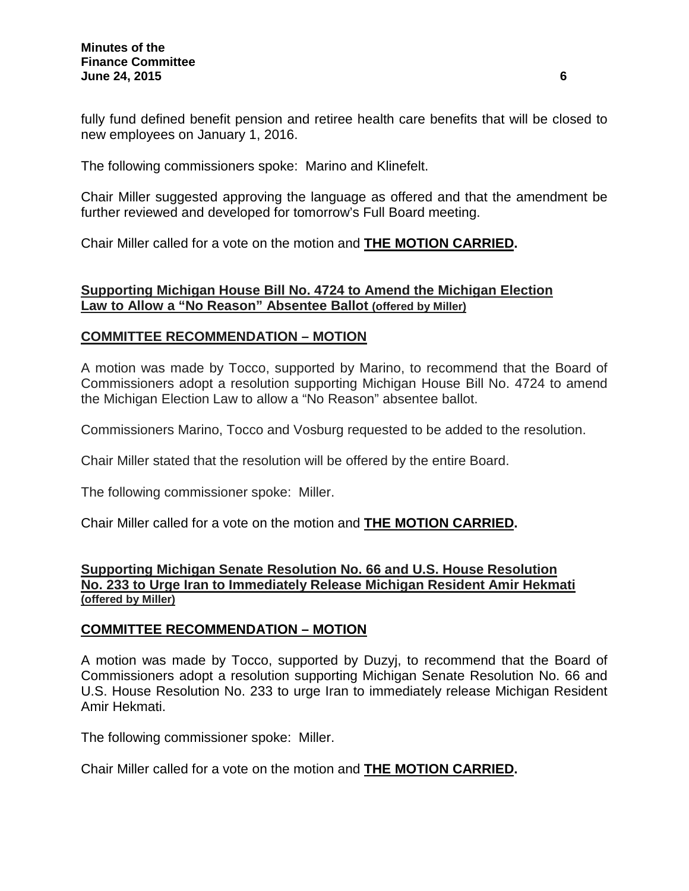fully fund defined benefit pension and retiree health care benefits that will be closed to new employees on January 1, 2016.

The following commissioners spoke: Marino and Klinefelt.

Chair Miller suggested approving the language as offered and that the amendment be further reviewed and developed for tomorrow's Full Board meeting.

Chair Miller called for a vote on the motion and **THE MOTION CARRIED.**

### **Supporting Michigan House Bill No. 4724 to Amend the Michigan Election Law to Allow a "No Reason" Absentee Ballot (offered by Miller)**

### **COMMITTEE RECOMMENDATION – MOTION**

A motion was made by Tocco, supported by Marino, to recommend that the Board of Commissioners adopt a resolution supporting Michigan House Bill No. 4724 to amend the Michigan Election Law to allow a "No Reason" absentee ballot.

Commissioners Marino, Tocco and Vosburg requested to be added to the resolution.

Chair Miller stated that the resolution will be offered by the entire Board.

The following commissioner spoke: Miller.

Chair Miller called for a vote on the motion and **THE MOTION CARRIED.**

### **Supporting Michigan Senate Resolution No. 66 and U.S. House Resolution No. 233 to Urge Iran to Immediately Release Michigan Resident Amir Hekmati (offered by Miller)**

### **COMMITTEE RECOMMENDATION – MOTION**

A motion was made by Tocco, supported by Duzyj, to recommend that the Board of Commissioners adopt a resolution supporting Michigan Senate Resolution No. 66 and U.S. House Resolution No. 233 to urge Iran to immediately release Michigan Resident Amir Hekmati.

The following commissioner spoke: Miller.

Chair Miller called for a vote on the motion and **THE MOTION CARRIED.**